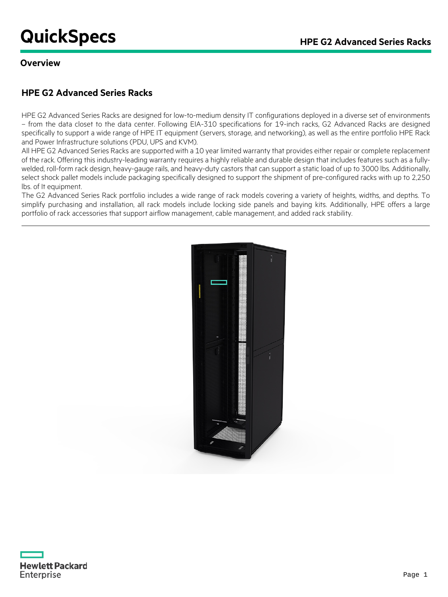# **QuickSpecs COUNTER ADDETS HPE G2 Advanced Series Racks**

### **Overview**

# **HPE G2 Advanced Series Racks**

HPE G2 Advanced Series Racks are designed for low-to-medium density IT configurations deployed in a diverse set of environments – from the data closet to the data center. Following EIA-310 specifications for 19-inch racks, G2 Advanced Racks are designed specifically to support a wide range of HPE IT equipment (servers, storage, and networking), as well as the entire portfolio HPE Rack and Power Infrastructure solutions (PDU, UPS and KVM).

All HPE G2 Advanced Series Racks are supported with a 10 year limited warranty that provides either repair or complete replacement of the rack. Offering this industry-leading warranty requires a highly reliable and durable design that includes features such as a fullywelded, roll-form rack design, heavy-gauge rails, and heavy-duty castors that can support a static load of up to 3000 lbs. Additionally, select shock pallet models include packaging specifically designed to support the shipment of pre-configured racks with up to 2,250 lbs. of It equipment.

The G2 Advanced Series Rack portfolio includes a wide range of rack models covering a variety of heights, widths, and depths. To simplify purchasing and installation, all rack models include locking side panels and baying kits. Additionally, HPE offers a large portfolio of rack accessories that support airflow management, cable management, and added rack stability.



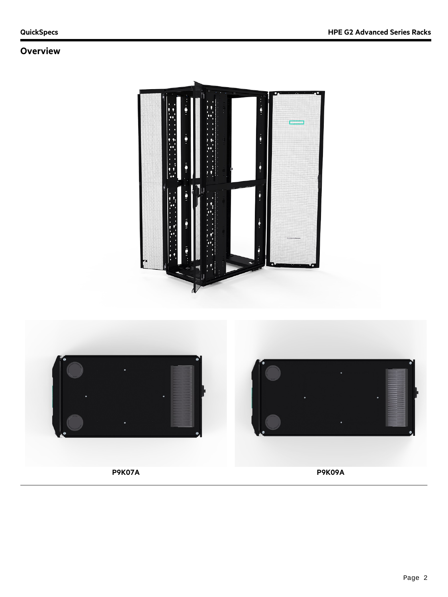# **Overview**



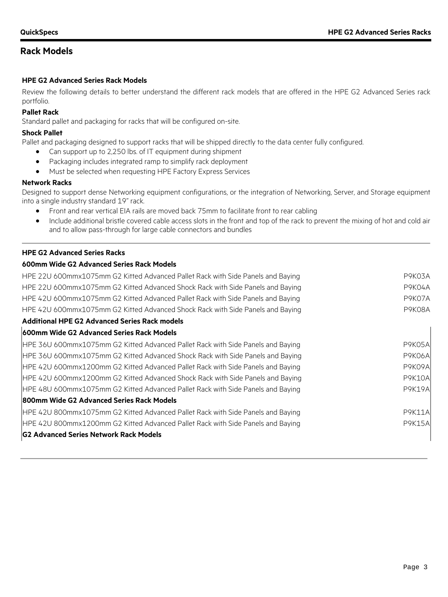## **Rack Models**

### **HPE G2 Advanced Series Rack Models**

Review the following details to better understand the different rack models that are offered in the HPE G2 Advanced Series rack portfolio.

### **Pallet Rack**

Standard pallet and packaging for racks that will be configured on-site.

### **Shock Pallet**

Pallet and packaging designed to support racks that will be shipped directly to the data center fully configured.

- Can support up to 2,250 lbs. of IT equipment during shipment
- Packaging includes integrated ramp to simplify rack deployment
- Must be selected when requesting HPE Factory Express Services

### **Network Racks**

Designed to support dense Networking equipment configurations, or the integration of Networking, Server, and Storage equipment into a single industry standard 19" rack.

- Front and rear vertical EIA rails are moved back 75mm to facilitate front to rear cabling
- Include additional bristle covered cable access slots in the front and top of the rack to prevent the mixing of hot and cold air and to allow pass-through for large cable connectors and bundles

### **HPE G2 Advanced Series Racks**

### **600mm Wide G2 Advanced Series Rack Models**

| HPE 22U 600mmx1075mm G2 Kitted Advanced Pallet Rack with Side Panels and Baying | P9K03A        |
|---------------------------------------------------------------------------------|---------------|
| HPE 22U 600mmx1075mm G2 Kitted Advanced Shock Rack with Side Panels and Baying  | P9K04A        |
| HPE 42U 600mmx1075mm G2 Kitted Advanced Pallet Rack with Side Panels and Baying | P9K07A        |
| HPE 42U 600mmx1075mm G2 Kitted Advanced Shock Rack with Side Panels and Baying  | P9K08A        |
| <b>Additional HPE G2 Advanced Series Rack models</b>                            |               |
| <b>600mm Wide G2 Advanced Series Rack Models</b>                                |               |
| HPE 36U 600mmx1075mm G2 Kitted Advanced Pallet Rack with Side Panels and Baying | P9K05A        |
| HPE 36U 600mmx1075mm G2 Kitted Advanced Shock Rack with Side Panels and Baying  | <b>P9K06A</b> |
| HPE 42U 600mmx1200mm G2 Kitted Advanced Pallet Rack with Side Panels and Baying | P9K09A        |
| HPE 42U 600mmx1200mm G2 Kitted Advanced Shock Rack with Side Panels and Baying  | <b>P9K10A</b> |
| HPE 48U 600mmx1075mm G2 Kitted Advanced Pallet Rack with Side Panels and Baying | <b>P9K19A</b> |
| 800mm Wide G2 Advanced Series Rack Models                                       |               |
| HPE 42U 800mmx1075mm G2 Kitted Advanced Pallet Rack with Side Panels and Baying | <b>P9K11A</b> |
| HPE 42U 800mmx1200mm G2 Kitted Advanced Pallet Rack with Side Panels and Baying | <b>P9K15A</b> |
| <b>G2 Advanced Series Network Rack Models</b>                                   |               |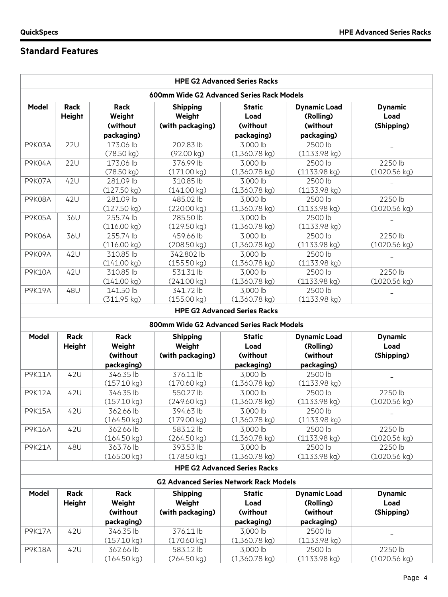# **Standard Features**

| 600mm Wide G2 Advanced Series Rack Models<br><b>Model</b><br>Rack<br><b>Dynamic Load</b><br><b>Rack</b><br><b>Shipping</b><br><b>Static</b><br><b>Dynamic</b><br>Weight<br><b>Height</b><br>Weight<br>Load<br>(Rolling)<br>Load<br>(without<br>(with packaging)<br>(without<br>(without<br>(Shipping)<br>packaging)<br>packaging)<br>packaging)<br><b>22U</b><br>173.06 lb<br>202.83 lb<br>3,000 lb<br>2500 lb<br>P9K03A<br>(78.50 kg)<br>(92.00 kg)<br>$(1,360.78$ kg)<br>(1133.98 kg)<br><b>22U</b><br>376.99 lb<br>2500 lb<br>2250 lb<br>P9K04A<br>173.06 lb<br>3,000 lb<br>(78.50 kg)<br>$(1,360.78 \text{ kg})$<br>$(1133.98 \text{ kg})$<br>$(1020.56 \text{ kg})$<br>(171.00 kg)<br>42U<br>P9K07A<br>281.09 lb<br>310.85 lb<br>3,000 lb<br>2500 lb<br>(141.00 kg)<br>(127.50 kg)<br>$(1,360.78$ kg)<br>(1133.98 kg)<br>42U<br>281.09 lb<br>2250 lb<br>P9K08A<br>485.02 lb<br>3,000 lb<br>2500 lb<br>(1133.98 kg)<br>$(1020.56 \text{ kg})$<br>(127.50 kg)<br>(220.00 kg)<br>$(1,360.78$ kg)<br>36U<br>P9K05A<br>255.74 lb<br>285.50 lb<br>3,000 lb<br>2500 lb<br>(116.00 kg)<br>(129.50 kg)<br>$(1,360.78$ kg)<br>(1133.98 kg)<br>36U<br>255.74 lb<br>2500 lb<br>2250 lb<br><b>P9K06A</b><br>459.66 lb<br>3,000 lb<br>(1133.98 kg)<br>(116.00 kg)<br>(208.50 kg)<br>$(1,360.78$ kg)<br>$(1020.56 \text{ kg})$<br>42U<br>P9K09A<br>310.85 lb<br>342.802 lb<br>3,000 lb<br>2500 lb<br>(141.00 kg)<br>(155.50 kg)<br>$(1,360.78$ kg)<br>$(1133.98 \text{ kg})$<br>42U<br>2250 lb<br><b>P9K10A</b><br>310.85 lb<br>531.31 lb<br>3,000 lb<br>2500 lb<br>$(1,360.78$ kg)<br>(1133.98 kg)<br>(141.00 kg)<br>(241.00 kg)<br>$(1020.56 \text{ kg})$<br>48U<br>2500 lb<br><b>P9K19A</b><br>141.50 lb<br>341.72 lb<br>3,000 lb<br>(311.95 kg)<br>(155.00 kg)<br>$(1,360.78$ kg)<br>(1133.98 kg)<br><b>HPE G2 Advanced Series Racks</b><br>800mm Wide G2 Advanced Series Rack Models<br>Rack<br><b>Model</b><br><b>Rack</b><br><b>Shipping</b><br><b>Static</b><br><b>Dynamic Load</b><br><b>Dynamic</b><br>Weight<br>Weight<br>Load<br><b>Height</b><br>Load<br>(Rolling)<br>(without<br>(without<br>(without<br>(with packaging)<br>(Shipping)<br>packaging)<br>packaging)<br>packaging)<br>42U<br>376.11 lb<br>2500 lb<br><b>P9K11A</b><br>346.35 lb<br>3,000 lb<br>(157.10 kg)<br>(170.60 kg)<br>$(1,360.78$ kg)<br>(1133.98 kg)<br>550.27 lb<br>2500 lb<br>2250 lb<br>42U<br>346.35 lb<br>3,000 lb<br><b>P9K12A</b><br>(157.10 kg)<br>(1133.98 kg)<br>(249.60 kg)<br>$(1,360.78$ kg)<br>(1020.56 kg)<br><b>P9K15A</b><br>42U<br>362.66 lb<br>394.63 lb<br>3,000 lb<br>2500 lb<br>(164.50 kg)<br>$(1,360.78$ kg)<br>(1133.98 kg)<br>(179.00 kg)<br>2500 lb<br>2250 lb<br>42U<br>362.66 lb<br>583.12 lb<br>3,000 lb<br><b>P9K16A</b><br>(164.50 kg)<br>(264.50 kg)<br>$(1,360.78$ kg)<br>(1133.98 kg)<br>(1020.56 kg)<br>48U<br>363.76 lb<br>2500 lb<br>2250 lb<br><b>P9K21A</b><br>393.53 lb<br>3,000 lb<br>(165.00 kg)<br>$(1020.56 \text{ kg})$<br>(178.50 kg)<br>$(1,360.78$ kg)<br>$(1133.98 \text{ kg})$<br><b>HPE G2 Advanced Series Racks</b><br><b>G2 Advanced Series Network Rack Models</b><br>Rack<br>Rack<br><b>Dynamic</b><br>Model<br><b>Shipping</b><br><b>Static</b><br><b>Dynamic Load</b><br><b>Height</b><br>Weight<br>Weight<br>Load<br>(Rolling)<br>Load<br>(without<br>(with packaging)<br>(without<br>(without<br>(Shipping)<br>packaging)<br>packaging)<br>packaging)<br>376.11 lb<br>42U<br>346.35 lb<br>3,000 lb<br>2500 lb<br><b>P9K17A</b><br>(157.10 kg)<br>(170.60 kg)<br>$(1,360.78$ kg)<br>(1133.98 kg)<br>42U<br>362.66 lb<br>583.12 lb<br>3,000 lb<br>2500 lb<br>2250 lb<br><b>P9K18A</b><br>(1020.56 kg)<br>(164.50 kg)<br>(264.50 kg)<br>$(1,360.78$ kg)<br>(1133.98 kg) |  |  |  | <b>HPE G2 Advanced Series Racks</b> |  |  |
|-------------------------------------------------------------------------------------------------------------------------------------------------------------------------------------------------------------------------------------------------------------------------------------------------------------------------------------------------------------------------------------------------------------------------------------------------------------------------------------------------------------------------------------------------------------------------------------------------------------------------------------------------------------------------------------------------------------------------------------------------------------------------------------------------------------------------------------------------------------------------------------------------------------------------------------------------------------------------------------------------------------------------------------------------------------------------------------------------------------------------------------------------------------------------------------------------------------------------------------------------------------------------------------------------------------------------------------------------------------------------------------------------------------------------------------------------------------------------------------------------------------------------------------------------------------------------------------------------------------------------------------------------------------------------------------------------------------------------------------------------------------------------------------------------------------------------------------------------------------------------------------------------------------------------------------------------------------------------------------------------------------------------------------------------------------------------------------------------------------------------------------------------------------------------------------------------------------------------------------------------------------------------------------------------------------------------------------------------------------------------------------------------------------------------------------------------------------------------------------------------------------------------------------------------------------------------------------------------------------------------------------------------------------------------------------------------------------------------------------------------------------------------------------------------------------------------------------------------------------------------------------------------------------------------------------------------------------------------------------------------------------------------------------------------------------------------------------------------------------------------------------------------------------------------------------------------------------------------------------------------------------------------------------------------------------------------------------------------------------------------------------------------------------------------------------------------------------------------------------------------------------------------------------------------------------------------------------------------------------------------------------------------------------------------------------------------------------|--|--|--|-------------------------------------|--|--|
|                                                                                                                                                                                                                                                                                                                                                                                                                                                                                                                                                                                                                                                                                                                                                                                                                                                                                                                                                                                                                                                                                                                                                                                                                                                                                                                                                                                                                                                                                                                                                                                                                                                                                                                                                                                                                                                                                                                                                                                                                                                                                                                                                                                                                                                                                                                                                                                                                                                                                                                                                                                                                                                                                                                                                                                                                                                                                                                                                                                                                                                                                                                                                                                                                                                                                                                                                                                                                                                                                                                                                                                                                                                                                                             |  |  |  |                                     |  |  |
|                                                                                                                                                                                                                                                                                                                                                                                                                                                                                                                                                                                                                                                                                                                                                                                                                                                                                                                                                                                                                                                                                                                                                                                                                                                                                                                                                                                                                                                                                                                                                                                                                                                                                                                                                                                                                                                                                                                                                                                                                                                                                                                                                                                                                                                                                                                                                                                                                                                                                                                                                                                                                                                                                                                                                                                                                                                                                                                                                                                                                                                                                                                                                                                                                                                                                                                                                                                                                                                                                                                                                                                                                                                                                                             |  |  |  |                                     |  |  |
|                                                                                                                                                                                                                                                                                                                                                                                                                                                                                                                                                                                                                                                                                                                                                                                                                                                                                                                                                                                                                                                                                                                                                                                                                                                                                                                                                                                                                                                                                                                                                                                                                                                                                                                                                                                                                                                                                                                                                                                                                                                                                                                                                                                                                                                                                                                                                                                                                                                                                                                                                                                                                                                                                                                                                                                                                                                                                                                                                                                                                                                                                                                                                                                                                                                                                                                                                                                                                                                                                                                                                                                                                                                                                                             |  |  |  |                                     |  |  |
|                                                                                                                                                                                                                                                                                                                                                                                                                                                                                                                                                                                                                                                                                                                                                                                                                                                                                                                                                                                                                                                                                                                                                                                                                                                                                                                                                                                                                                                                                                                                                                                                                                                                                                                                                                                                                                                                                                                                                                                                                                                                                                                                                                                                                                                                                                                                                                                                                                                                                                                                                                                                                                                                                                                                                                                                                                                                                                                                                                                                                                                                                                                                                                                                                                                                                                                                                                                                                                                                                                                                                                                                                                                                                                             |  |  |  |                                     |  |  |
|                                                                                                                                                                                                                                                                                                                                                                                                                                                                                                                                                                                                                                                                                                                                                                                                                                                                                                                                                                                                                                                                                                                                                                                                                                                                                                                                                                                                                                                                                                                                                                                                                                                                                                                                                                                                                                                                                                                                                                                                                                                                                                                                                                                                                                                                                                                                                                                                                                                                                                                                                                                                                                                                                                                                                                                                                                                                                                                                                                                                                                                                                                                                                                                                                                                                                                                                                                                                                                                                                                                                                                                                                                                                                                             |  |  |  |                                     |  |  |
|                                                                                                                                                                                                                                                                                                                                                                                                                                                                                                                                                                                                                                                                                                                                                                                                                                                                                                                                                                                                                                                                                                                                                                                                                                                                                                                                                                                                                                                                                                                                                                                                                                                                                                                                                                                                                                                                                                                                                                                                                                                                                                                                                                                                                                                                                                                                                                                                                                                                                                                                                                                                                                                                                                                                                                                                                                                                                                                                                                                                                                                                                                                                                                                                                                                                                                                                                                                                                                                                                                                                                                                                                                                                                                             |  |  |  |                                     |  |  |
|                                                                                                                                                                                                                                                                                                                                                                                                                                                                                                                                                                                                                                                                                                                                                                                                                                                                                                                                                                                                                                                                                                                                                                                                                                                                                                                                                                                                                                                                                                                                                                                                                                                                                                                                                                                                                                                                                                                                                                                                                                                                                                                                                                                                                                                                                                                                                                                                                                                                                                                                                                                                                                                                                                                                                                                                                                                                                                                                                                                                                                                                                                                                                                                                                                                                                                                                                                                                                                                                                                                                                                                                                                                                                                             |  |  |  |                                     |  |  |
|                                                                                                                                                                                                                                                                                                                                                                                                                                                                                                                                                                                                                                                                                                                                                                                                                                                                                                                                                                                                                                                                                                                                                                                                                                                                                                                                                                                                                                                                                                                                                                                                                                                                                                                                                                                                                                                                                                                                                                                                                                                                                                                                                                                                                                                                                                                                                                                                                                                                                                                                                                                                                                                                                                                                                                                                                                                                                                                                                                                                                                                                                                                                                                                                                                                                                                                                                                                                                                                                                                                                                                                                                                                                                                             |  |  |  |                                     |  |  |
|                                                                                                                                                                                                                                                                                                                                                                                                                                                                                                                                                                                                                                                                                                                                                                                                                                                                                                                                                                                                                                                                                                                                                                                                                                                                                                                                                                                                                                                                                                                                                                                                                                                                                                                                                                                                                                                                                                                                                                                                                                                                                                                                                                                                                                                                                                                                                                                                                                                                                                                                                                                                                                                                                                                                                                                                                                                                                                                                                                                                                                                                                                                                                                                                                                                                                                                                                                                                                                                                                                                                                                                                                                                                                                             |  |  |  |                                     |  |  |
|                                                                                                                                                                                                                                                                                                                                                                                                                                                                                                                                                                                                                                                                                                                                                                                                                                                                                                                                                                                                                                                                                                                                                                                                                                                                                                                                                                                                                                                                                                                                                                                                                                                                                                                                                                                                                                                                                                                                                                                                                                                                                                                                                                                                                                                                                                                                                                                                                                                                                                                                                                                                                                                                                                                                                                                                                                                                                                                                                                                                                                                                                                                                                                                                                                                                                                                                                                                                                                                                                                                                                                                                                                                                                                             |  |  |  |                                     |  |  |
|                                                                                                                                                                                                                                                                                                                                                                                                                                                                                                                                                                                                                                                                                                                                                                                                                                                                                                                                                                                                                                                                                                                                                                                                                                                                                                                                                                                                                                                                                                                                                                                                                                                                                                                                                                                                                                                                                                                                                                                                                                                                                                                                                                                                                                                                                                                                                                                                                                                                                                                                                                                                                                                                                                                                                                                                                                                                                                                                                                                                                                                                                                                                                                                                                                                                                                                                                                                                                                                                                                                                                                                                                                                                                                             |  |  |  |                                     |  |  |
|                                                                                                                                                                                                                                                                                                                                                                                                                                                                                                                                                                                                                                                                                                                                                                                                                                                                                                                                                                                                                                                                                                                                                                                                                                                                                                                                                                                                                                                                                                                                                                                                                                                                                                                                                                                                                                                                                                                                                                                                                                                                                                                                                                                                                                                                                                                                                                                                                                                                                                                                                                                                                                                                                                                                                                                                                                                                                                                                                                                                                                                                                                                                                                                                                                                                                                                                                                                                                                                                                                                                                                                                                                                                                                             |  |  |  |                                     |  |  |
|                                                                                                                                                                                                                                                                                                                                                                                                                                                                                                                                                                                                                                                                                                                                                                                                                                                                                                                                                                                                                                                                                                                                                                                                                                                                                                                                                                                                                                                                                                                                                                                                                                                                                                                                                                                                                                                                                                                                                                                                                                                                                                                                                                                                                                                                                                                                                                                                                                                                                                                                                                                                                                                                                                                                                                                                                                                                                                                                                                                                                                                                                                                                                                                                                                                                                                                                                                                                                                                                                                                                                                                                                                                                                                             |  |  |  |                                     |  |  |
|                                                                                                                                                                                                                                                                                                                                                                                                                                                                                                                                                                                                                                                                                                                                                                                                                                                                                                                                                                                                                                                                                                                                                                                                                                                                                                                                                                                                                                                                                                                                                                                                                                                                                                                                                                                                                                                                                                                                                                                                                                                                                                                                                                                                                                                                                                                                                                                                                                                                                                                                                                                                                                                                                                                                                                                                                                                                                                                                                                                                                                                                                                                                                                                                                                                                                                                                                                                                                                                                                                                                                                                                                                                                                                             |  |  |  |                                     |  |  |
|                                                                                                                                                                                                                                                                                                                                                                                                                                                                                                                                                                                                                                                                                                                                                                                                                                                                                                                                                                                                                                                                                                                                                                                                                                                                                                                                                                                                                                                                                                                                                                                                                                                                                                                                                                                                                                                                                                                                                                                                                                                                                                                                                                                                                                                                                                                                                                                                                                                                                                                                                                                                                                                                                                                                                                                                                                                                                                                                                                                                                                                                                                                                                                                                                                                                                                                                                                                                                                                                                                                                                                                                                                                                                                             |  |  |  |                                     |  |  |
|                                                                                                                                                                                                                                                                                                                                                                                                                                                                                                                                                                                                                                                                                                                                                                                                                                                                                                                                                                                                                                                                                                                                                                                                                                                                                                                                                                                                                                                                                                                                                                                                                                                                                                                                                                                                                                                                                                                                                                                                                                                                                                                                                                                                                                                                                                                                                                                                                                                                                                                                                                                                                                                                                                                                                                                                                                                                                                                                                                                                                                                                                                                                                                                                                                                                                                                                                                                                                                                                                                                                                                                                                                                                                                             |  |  |  |                                     |  |  |
|                                                                                                                                                                                                                                                                                                                                                                                                                                                                                                                                                                                                                                                                                                                                                                                                                                                                                                                                                                                                                                                                                                                                                                                                                                                                                                                                                                                                                                                                                                                                                                                                                                                                                                                                                                                                                                                                                                                                                                                                                                                                                                                                                                                                                                                                                                                                                                                                                                                                                                                                                                                                                                                                                                                                                                                                                                                                                                                                                                                                                                                                                                                                                                                                                                                                                                                                                                                                                                                                                                                                                                                                                                                                                                             |  |  |  |                                     |  |  |
|                                                                                                                                                                                                                                                                                                                                                                                                                                                                                                                                                                                                                                                                                                                                                                                                                                                                                                                                                                                                                                                                                                                                                                                                                                                                                                                                                                                                                                                                                                                                                                                                                                                                                                                                                                                                                                                                                                                                                                                                                                                                                                                                                                                                                                                                                                                                                                                                                                                                                                                                                                                                                                                                                                                                                                                                                                                                                                                                                                                                                                                                                                                                                                                                                                                                                                                                                                                                                                                                                                                                                                                                                                                                                                             |  |  |  |                                     |  |  |
|                                                                                                                                                                                                                                                                                                                                                                                                                                                                                                                                                                                                                                                                                                                                                                                                                                                                                                                                                                                                                                                                                                                                                                                                                                                                                                                                                                                                                                                                                                                                                                                                                                                                                                                                                                                                                                                                                                                                                                                                                                                                                                                                                                                                                                                                                                                                                                                                                                                                                                                                                                                                                                                                                                                                                                                                                                                                                                                                                                                                                                                                                                                                                                                                                                                                                                                                                                                                                                                                                                                                                                                                                                                                                                             |  |  |  |                                     |  |  |
|                                                                                                                                                                                                                                                                                                                                                                                                                                                                                                                                                                                                                                                                                                                                                                                                                                                                                                                                                                                                                                                                                                                                                                                                                                                                                                                                                                                                                                                                                                                                                                                                                                                                                                                                                                                                                                                                                                                                                                                                                                                                                                                                                                                                                                                                                                                                                                                                                                                                                                                                                                                                                                                                                                                                                                                                                                                                                                                                                                                                                                                                                                                                                                                                                                                                                                                                                                                                                                                                                                                                                                                                                                                                                                             |  |  |  |                                     |  |  |
|                                                                                                                                                                                                                                                                                                                                                                                                                                                                                                                                                                                                                                                                                                                                                                                                                                                                                                                                                                                                                                                                                                                                                                                                                                                                                                                                                                                                                                                                                                                                                                                                                                                                                                                                                                                                                                                                                                                                                                                                                                                                                                                                                                                                                                                                                                                                                                                                                                                                                                                                                                                                                                                                                                                                                                                                                                                                                                                                                                                                                                                                                                                                                                                                                                                                                                                                                                                                                                                                                                                                                                                                                                                                                                             |  |  |  |                                     |  |  |
|                                                                                                                                                                                                                                                                                                                                                                                                                                                                                                                                                                                                                                                                                                                                                                                                                                                                                                                                                                                                                                                                                                                                                                                                                                                                                                                                                                                                                                                                                                                                                                                                                                                                                                                                                                                                                                                                                                                                                                                                                                                                                                                                                                                                                                                                                                                                                                                                                                                                                                                                                                                                                                                                                                                                                                                                                                                                                                                                                                                                                                                                                                                                                                                                                                                                                                                                                                                                                                                                                                                                                                                                                                                                                                             |  |  |  |                                     |  |  |
|                                                                                                                                                                                                                                                                                                                                                                                                                                                                                                                                                                                                                                                                                                                                                                                                                                                                                                                                                                                                                                                                                                                                                                                                                                                                                                                                                                                                                                                                                                                                                                                                                                                                                                                                                                                                                                                                                                                                                                                                                                                                                                                                                                                                                                                                                                                                                                                                                                                                                                                                                                                                                                                                                                                                                                                                                                                                                                                                                                                                                                                                                                                                                                                                                                                                                                                                                                                                                                                                                                                                                                                                                                                                                                             |  |  |  |                                     |  |  |
|                                                                                                                                                                                                                                                                                                                                                                                                                                                                                                                                                                                                                                                                                                                                                                                                                                                                                                                                                                                                                                                                                                                                                                                                                                                                                                                                                                                                                                                                                                                                                                                                                                                                                                                                                                                                                                                                                                                                                                                                                                                                                                                                                                                                                                                                                                                                                                                                                                                                                                                                                                                                                                                                                                                                                                                                                                                                                                                                                                                                                                                                                                                                                                                                                                                                                                                                                                                                                                                                                                                                                                                                                                                                                                             |  |  |  |                                     |  |  |
|                                                                                                                                                                                                                                                                                                                                                                                                                                                                                                                                                                                                                                                                                                                                                                                                                                                                                                                                                                                                                                                                                                                                                                                                                                                                                                                                                                                                                                                                                                                                                                                                                                                                                                                                                                                                                                                                                                                                                                                                                                                                                                                                                                                                                                                                                                                                                                                                                                                                                                                                                                                                                                                                                                                                                                                                                                                                                                                                                                                                                                                                                                                                                                                                                                                                                                                                                                                                                                                                                                                                                                                                                                                                                                             |  |  |  |                                     |  |  |
|                                                                                                                                                                                                                                                                                                                                                                                                                                                                                                                                                                                                                                                                                                                                                                                                                                                                                                                                                                                                                                                                                                                                                                                                                                                                                                                                                                                                                                                                                                                                                                                                                                                                                                                                                                                                                                                                                                                                                                                                                                                                                                                                                                                                                                                                                                                                                                                                                                                                                                                                                                                                                                                                                                                                                                                                                                                                                                                                                                                                                                                                                                                                                                                                                                                                                                                                                                                                                                                                                                                                                                                                                                                                                                             |  |  |  |                                     |  |  |
|                                                                                                                                                                                                                                                                                                                                                                                                                                                                                                                                                                                                                                                                                                                                                                                                                                                                                                                                                                                                                                                                                                                                                                                                                                                                                                                                                                                                                                                                                                                                                                                                                                                                                                                                                                                                                                                                                                                                                                                                                                                                                                                                                                                                                                                                                                                                                                                                                                                                                                                                                                                                                                                                                                                                                                                                                                                                                                                                                                                                                                                                                                                                                                                                                                                                                                                                                                                                                                                                                                                                                                                                                                                                                                             |  |  |  |                                     |  |  |
|                                                                                                                                                                                                                                                                                                                                                                                                                                                                                                                                                                                                                                                                                                                                                                                                                                                                                                                                                                                                                                                                                                                                                                                                                                                                                                                                                                                                                                                                                                                                                                                                                                                                                                                                                                                                                                                                                                                                                                                                                                                                                                                                                                                                                                                                                                                                                                                                                                                                                                                                                                                                                                                                                                                                                                                                                                                                                                                                                                                                                                                                                                                                                                                                                                                                                                                                                                                                                                                                                                                                                                                                                                                                                                             |  |  |  |                                     |  |  |
|                                                                                                                                                                                                                                                                                                                                                                                                                                                                                                                                                                                                                                                                                                                                                                                                                                                                                                                                                                                                                                                                                                                                                                                                                                                                                                                                                                                                                                                                                                                                                                                                                                                                                                                                                                                                                                                                                                                                                                                                                                                                                                                                                                                                                                                                                                                                                                                                                                                                                                                                                                                                                                                                                                                                                                                                                                                                                                                                                                                                                                                                                                                                                                                                                                                                                                                                                                                                                                                                                                                                                                                                                                                                                                             |  |  |  |                                     |  |  |
|                                                                                                                                                                                                                                                                                                                                                                                                                                                                                                                                                                                                                                                                                                                                                                                                                                                                                                                                                                                                                                                                                                                                                                                                                                                                                                                                                                                                                                                                                                                                                                                                                                                                                                                                                                                                                                                                                                                                                                                                                                                                                                                                                                                                                                                                                                                                                                                                                                                                                                                                                                                                                                                                                                                                                                                                                                                                                                                                                                                                                                                                                                                                                                                                                                                                                                                                                                                                                                                                                                                                                                                                                                                                                                             |  |  |  |                                     |  |  |
|                                                                                                                                                                                                                                                                                                                                                                                                                                                                                                                                                                                                                                                                                                                                                                                                                                                                                                                                                                                                                                                                                                                                                                                                                                                                                                                                                                                                                                                                                                                                                                                                                                                                                                                                                                                                                                                                                                                                                                                                                                                                                                                                                                                                                                                                                                                                                                                                                                                                                                                                                                                                                                                                                                                                                                                                                                                                                                                                                                                                                                                                                                                                                                                                                                                                                                                                                                                                                                                                                                                                                                                                                                                                                                             |  |  |  |                                     |  |  |
|                                                                                                                                                                                                                                                                                                                                                                                                                                                                                                                                                                                                                                                                                                                                                                                                                                                                                                                                                                                                                                                                                                                                                                                                                                                                                                                                                                                                                                                                                                                                                                                                                                                                                                                                                                                                                                                                                                                                                                                                                                                                                                                                                                                                                                                                                                                                                                                                                                                                                                                                                                                                                                                                                                                                                                                                                                                                                                                                                                                                                                                                                                                                                                                                                                                                                                                                                                                                                                                                                                                                                                                                                                                                                                             |  |  |  |                                     |  |  |
|                                                                                                                                                                                                                                                                                                                                                                                                                                                                                                                                                                                                                                                                                                                                                                                                                                                                                                                                                                                                                                                                                                                                                                                                                                                                                                                                                                                                                                                                                                                                                                                                                                                                                                                                                                                                                                                                                                                                                                                                                                                                                                                                                                                                                                                                                                                                                                                                                                                                                                                                                                                                                                                                                                                                                                                                                                                                                                                                                                                                                                                                                                                                                                                                                                                                                                                                                                                                                                                                                                                                                                                                                                                                                                             |  |  |  |                                     |  |  |
|                                                                                                                                                                                                                                                                                                                                                                                                                                                                                                                                                                                                                                                                                                                                                                                                                                                                                                                                                                                                                                                                                                                                                                                                                                                                                                                                                                                                                                                                                                                                                                                                                                                                                                                                                                                                                                                                                                                                                                                                                                                                                                                                                                                                                                                                                                                                                                                                                                                                                                                                                                                                                                                                                                                                                                                                                                                                                                                                                                                                                                                                                                                                                                                                                                                                                                                                                                                                                                                                                                                                                                                                                                                                                                             |  |  |  |                                     |  |  |
|                                                                                                                                                                                                                                                                                                                                                                                                                                                                                                                                                                                                                                                                                                                                                                                                                                                                                                                                                                                                                                                                                                                                                                                                                                                                                                                                                                                                                                                                                                                                                                                                                                                                                                                                                                                                                                                                                                                                                                                                                                                                                                                                                                                                                                                                                                                                                                                                                                                                                                                                                                                                                                                                                                                                                                                                                                                                                                                                                                                                                                                                                                                                                                                                                                                                                                                                                                                                                                                                                                                                                                                                                                                                                                             |  |  |  |                                     |  |  |
|                                                                                                                                                                                                                                                                                                                                                                                                                                                                                                                                                                                                                                                                                                                                                                                                                                                                                                                                                                                                                                                                                                                                                                                                                                                                                                                                                                                                                                                                                                                                                                                                                                                                                                                                                                                                                                                                                                                                                                                                                                                                                                                                                                                                                                                                                                                                                                                                                                                                                                                                                                                                                                                                                                                                                                                                                                                                                                                                                                                                                                                                                                                                                                                                                                                                                                                                                                                                                                                                                                                                                                                                                                                                                                             |  |  |  |                                     |  |  |
|                                                                                                                                                                                                                                                                                                                                                                                                                                                                                                                                                                                                                                                                                                                                                                                                                                                                                                                                                                                                                                                                                                                                                                                                                                                                                                                                                                                                                                                                                                                                                                                                                                                                                                                                                                                                                                                                                                                                                                                                                                                                                                                                                                                                                                                                                                                                                                                                                                                                                                                                                                                                                                                                                                                                                                                                                                                                                                                                                                                                                                                                                                                                                                                                                                                                                                                                                                                                                                                                                                                                                                                                                                                                                                             |  |  |  |                                     |  |  |
|                                                                                                                                                                                                                                                                                                                                                                                                                                                                                                                                                                                                                                                                                                                                                                                                                                                                                                                                                                                                                                                                                                                                                                                                                                                                                                                                                                                                                                                                                                                                                                                                                                                                                                                                                                                                                                                                                                                                                                                                                                                                                                                                                                                                                                                                                                                                                                                                                                                                                                                                                                                                                                                                                                                                                                                                                                                                                                                                                                                                                                                                                                                                                                                                                                                                                                                                                                                                                                                                                                                                                                                                                                                                                                             |  |  |  |                                     |  |  |
|                                                                                                                                                                                                                                                                                                                                                                                                                                                                                                                                                                                                                                                                                                                                                                                                                                                                                                                                                                                                                                                                                                                                                                                                                                                                                                                                                                                                                                                                                                                                                                                                                                                                                                                                                                                                                                                                                                                                                                                                                                                                                                                                                                                                                                                                                                                                                                                                                                                                                                                                                                                                                                                                                                                                                                                                                                                                                                                                                                                                                                                                                                                                                                                                                                                                                                                                                                                                                                                                                                                                                                                                                                                                                                             |  |  |  |                                     |  |  |
|                                                                                                                                                                                                                                                                                                                                                                                                                                                                                                                                                                                                                                                                                                                                                                                                                                                                                                                                                                                                                                                                                                                                                                                                                                                                                                                                                                                                                                                                                                                                                                                                                                                                                                                                                                                                                                                                                                                                                                                                                                                                                                                                                                                                                                                                                                                                                                                                                                                                                                                                                                                                                                                                                                                                                                                                                                                                                                                                                                                                                                                                                                                                                                                                                                                                                                                                                                                                                                                                                                                                                                                                                                                                                                             |  |  |  |                                     |  |  |
|                                                                                                                                                                                                                                                                                                                                                                                                                                                                                                                                                                                                                                                                                                                                                                                                                                                                                                                                                                                                                                                                                                                                                                                                                                                                                                                                                                                                                                                                                                                                                                                                                                                                                                                                                                                                                                                                                                                                                                                                                                                                                                                                                                                                                                                                                                                                                                                                                                                                                                                                                                                                                                                                                                                                                                                                                                                                                                                                                                                                                                                                                                                                                                                                                                                                                                                                                                                                                                                                                                                                                                                                                                                                                                             |  |  |  |                                     |  |  |
|                                                                                                                                                                                                                                                                                                                                                                                                                                                                                                                                                                                                                                                                                                                                                                                                                                                                                                                                                                                                                                                                                                                                                                                                                                                                                                                                                                                                                                                                                                                                                                                                                                                                                                                                                                                                                                                                                                                                                                                                                                                                                                                                                                                                                                                                                                                                                                                                                                                                                                                                                                                                                                                                                                                                                                                                                                                                                                                                                                                                                                                                                                                                                                                                                                                                                                                                                                                                                                                                                                                                                                                                                                                                                                             |  |  |  |                                     |  |  |
|                                                                                                                                                                                                                                                                                                                                                                                                                                                                                                                                                                                                                                                                                                                                                                                                                                                                                                                                                                                                                                                                                                                                                                                                                                                                                                                                                                                                                                                                                                                                                                                                                                                                                                                                                                                                                                                                                                                                                                                                                                                                                                                                                                                                                                                                                                                                                                                                                                                                                                                                                                                                                                                                                                                                                                                                                                                                                                                                                                                                                                                                                                                                                                                                                                                                                                                                                                                                                                                                                                                                                                                                                                                                                                             |  |  |  |                                     |  |  |
|                                                                                                                                                                                                                                                                                                                                                                                                                                                                                                                                                                                                                                                                                                                                                                                                                                                                                                                                                                                                                                                                                                                                                                                                                                                                                                                                                                                                                                                                                                                                                                                                                                                                                                                                                                                                                                                                                                                                                                                                                                                                                                                                                                                                                                                                                                                                                                                                                                                                                                                                                                                                                                                                                                                                                                                                                                                                                                                                                                                                                                                                                                                                                                                                                                                                                                                                                                                                                                                                                                                                                                                                                                                                                                             |  |  |  |                                     |  |  |
|                                                                                                                                                                                                                                                                                                                                                                                                                                                                                                                                                                                                                                                                                                                                                                                                                                                                                                                                                                                                                                                                                                                                                                                                                                                                                                                                                                                                                                                                                                                                                                                                                                                                                                                                                                                                                                                                                                                                                                                                                                                                                                                                                                                                                                                                                                                                                                                                                                                                                                                                                                                                                                                                                                                                                                                                                                                                                                                                                                                                                                                                                                                                                                                                                                                                                                                                                                                                                                                                                                                                                                                                                                                                                                             |  |  |  |                                     |  |  |
|                                                                                                                                                                                                                                                                                                                                                                                                                                                                                                                                                                                                                                                                                                                                                                                                                                                                                                                                                                                                                                                                                                                                                                                                                                                                                                                                                                                                                                                                                                                                                                                                                                                                                                                                                                                                                                                                                                                                                                                                                                                                                                                                                                                                                                                                                                                                                                                                                                                                                                                                                                                                                                                                                                                                                                                                                                                                                                                                                                                                                                                                                                                                                                                                                                                                                                                                                                                                                                                                                                                                                                                                                                                                                                             |  |  |  |                                     |  |  |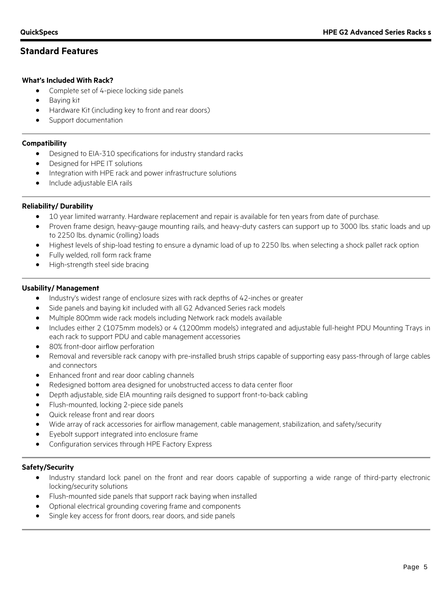### **Standard Features**

### **What's Included With Rack?**

- Complete set of 4-piece locking side panels
- Baying kit
- Hardware Kit (including key to front and rear doors)
- Support documentation

### **Compatibility**

- Designed to EIA-310 specifications for industry standard racks
- Designed for HPE IT solutions
- Integration with HPE rack and power infrastructure solutions
- Include adjustable EIA rails

### **Reliability/ Durability**

- 10 year limited warranty. Hardware replacement and repair is available for ten years from date of purchase.
- Proven frame design, heavy-gauge mounting rails, and heavy-duty casters can support up to 3000 lbs. static loads and up to 2250 lbs. dynamic (rolling) loads
- Highest levels of ship-load testing to ensure a dynamic load of up to 2250 lbs. when selecting a shock pallet rack option
- Fully welded, roll form rack frame
- High-strength steel side bracing

### **Usability/ Management**

- Industry's widest range of enclosure sizes with rack depths of 42-inches or greater
- Side panels and baying kit included with all G2 Advanced Series rack models
- Multiple 800mm wide rack models including Network rack models available
- Includes either 2 (1075mm models) or 4 (1200mm models) integrated and adjustable full-height PDU Mounting Trays in each rack to support PDU and cable management accessories
- 80% front-door airflow perforation
- Removal and reversible rack canopy with pre-installed brush strips capable of supporting easy pass-through of large cables and connectors
- Enhanced front and rear door cabling channels
- Redesigned bottom area designed for unobstructed access to data center floor
- Depth adjustable, side EIA mounting rails designed to support front-to-back cabling
- Flush-mounted, locking 2-piece side panels
- Quick release front and rear doors
- Wide array of rack accessories for airflow management, cable management, stabilization, and safety/security
- Eyebolt support integrated into enclosure frame
- Configuration services through HPE Factory Express

### **Safety/Security**

- Industry standard lock panel on the front and rear doors capable of supporting a wide range of third-party electronic locking/security solutions
- Flush-mounted side panels that support rack baying when installed
- Optional electrical grounding covering frame and components
- Single key access for front doors, rear doors, and side panels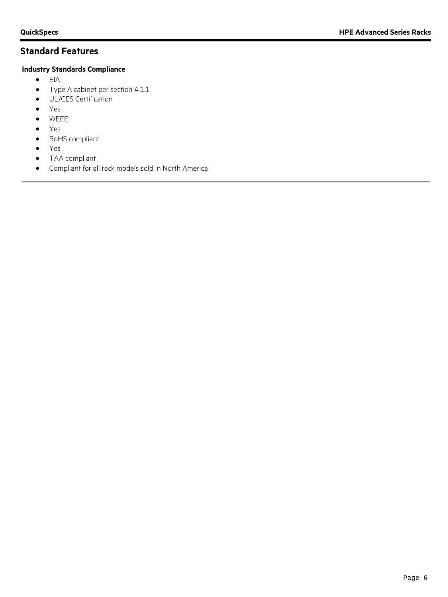# **Standard Features**

### **Industry Standards Compliance**

- $\bullet$  EIA
- Type A cabinet per section 4.1.1
- UL/CES Certification
- Yes
- WEEE
- Yes
- RoHS compliant
- Yes
- TAA compliant
- Compliant for all rack models sold in North America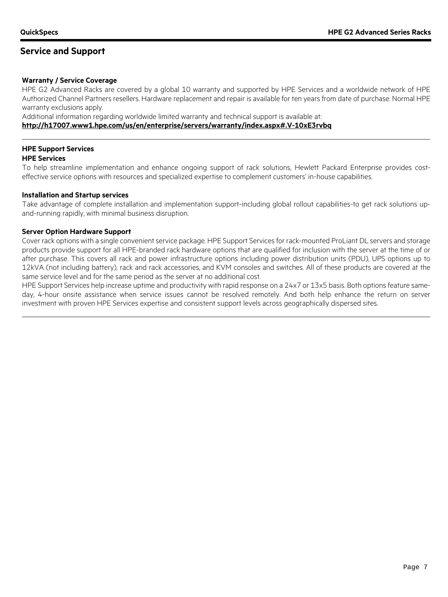### **Service and Support**

#### **Warranty / Service Coverage**

HPE G2 Advanced Racks are covered by a global 10 warranty and supported by HPE Services and a worldwide network of HPE Authorized Channel Partners resellers. Hardware replacement and repair is available for ten years from date of purchase. Normal HPE warranty exclusions apply.

Additional information regarding worldwide limited warranty and technical support is available at:

#### **<http://h17007.www1.hpe.com/us/en/enterprise/servers/warranty/index.aspx#.V-10xE3rvbq>**

#### **HPE Support Services HPE Services**

To help streamline implementation and enhance ongoing support of rack solutions, Hewlett Packard Enterprise provides costeffective service options with resources and specialized expertise to complement customers' in-house capabilities.

#### **Installation and Startup services**

Take advantage of complete installation and implementation support-including global rollout capabilities-to get rack solutions upand-running rapidly, with minimal business disruption.

#### **Server Option Hardware Support**

Cover rack options with a single convenient service package. HPE Support Services for rack-mounted ProLiant DL servers and storage products provide support for all HPE-branded rack hardware options that are qualified for inclusion with the server at the time of or after purchase. This covers all rack and power infrastructure options including power distribution units (PDU), UPS options up to 12kVA (not including battery), rack and rack accessories, and KVM consoles and switches. All of these products are covered at the same service level and for the same period as the server at no additional cost.

HPE Support Services help increase uptime and productivity with rapid response on a 24x7 or 13x5 basis. Both options feature sameday, 4-hour onsite assistance when service issues cannot be resolved remotely. And both help enhance the return on server investment with proven HPE Services expertise and consistent support levels across geographically dispersed sites.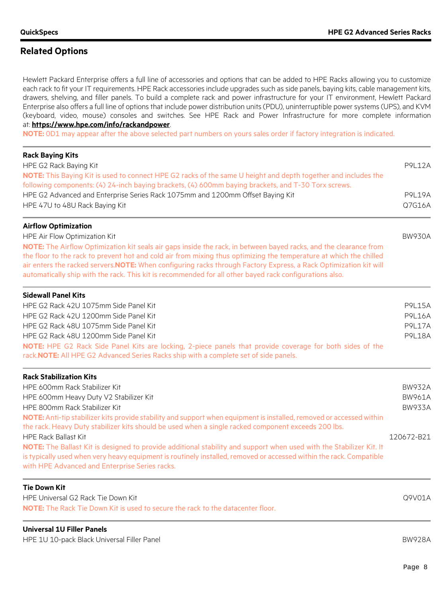### **Related Options**

Hewlett Packard Enterprise offers a full line of accessories and options that can be added to HPE Racks allowing you to customize each rack to fit your IT requirements. HPE Rack accessories include upgrades such as side panels, baying kits, cable management kits, drawers, shelving, and filler panels. To build a complete rack and power infrastructure for your IT environment, Hewlett Packard Enterprise also offers a full line of options that include power distribution units (PDU), uninterruptible power systems (UPS), and KVM (keyboard, video, mouse) consoles and switches. See HPE Rack and Power Infrastructure for more complete information at: **<https://www.hpe.com/info/rackandpower>**.

**NOTE:** 0D1 may appear after the above selected part numbers on yours sales order if factory integration is indicated.

| <b>Rack Baying Kits</b><br>HPE G2 Rack Baying Kit                                                                                                                                                                                                                                                                                                            | <b>P9L12A</b> |
|--------------------------------------------------------------------------------------------------------------------------------------------------------------------------------------------------------------------------------------------------------------------------------------------------------------------------------------------------------------|---------------|
| NOTE: This Baying Kit is used to connect HPE G2 racks of the same U height and depth together and includes the<br>following components: (4) 24-inch baying brackets, (4) 600mm baying brackets, and T-30 Torx screws.                                                                                                                                        |               |
| HPE G2 Advanced and Enterprise Series Rack 1075mm and 1200mm Offset Baying Kit                                                                                                                                                                                                                                                                               | <b>P9L19A</b> |
| HPE 47U to 48U Rack Baying Kit                                                                                                                                                                                                                                                                                                                               | Q7G16A        |
| <b>Airflow Optimization</b>                                                                                                                                                                                                                                                                                                                                  |               |
| HPE Air Flow Optimization Kit                                                                                                                                                                                                                                                                                                                                | <b>BW930A</b> |
| NOTE: The Airflow Optimization kit seals air gaps inside the rack, in between bayed racks, and the clearance from<br>the floor to the rack to prevent hot and cold air from mixing thus optimizing the temperature at which the chilled<br>air enters the racked servers. NOTE: When configuring racks through Factory Express, a Rack Optimization kit will |               |
| automatically ship with the rack. This kit is recommended for all other bayed rack configurations also.                                                                                                                                                                                                                                                      |               |
| <b>Sidewall Panel Kits</b>                                                                                                                                                                                                                                                                                                                                   |               |
| HPE G2 Rack 42U 1075mm Side Panel Kit                                                                                                                                                                                                                                                                                                                        | <b>P9L15A</b> |
| HPE G2 Rack 42U 1200mm Side Panel Kit                                                                                                                                                                                                                                                                                                                        | <b>P9L16A</b> |
| HPE G2 Rack 48U 1075mm Side Panel Kit                                                                                                                                                                                                                                                                                                                        | <b>P9L17A</b> |
| HPE G2 Rack 48U 1200mm Side Panel Kit                                                                                                                                                                                                                                                                                                                        | <b>P9L18A</b> |
| NOTE: HPE G2 Rack Side Panel Kits are locking, 2-piece panels that provide coverage for both sides of the<br>rack.NOTE: All HPE G2 Advanced Series Racks ship with a complete set of side panels.                                                                                                                                                            |               |
| <b>Rack Stabilization Kits</b>                                                                                                                                                                                                                                                                                                                               |               |
| HPE 600mm Rack Stabilizer Kit                                                                                                                                                                                                                                                                                                                                | <b>BW932A</b> |
| HPE 600mm Heavy Duty V2 Stabilizer Kit                                                                                                                                                                                                                                                                                                                       | <b>BW961A</b> |
| HPE 800mm Rack Stabilizer Kit                                                                                                                                                                                                                                                                                                                                | <b>BW933A</b> |
| NOTE: Anti-tip stabilizer kits provide stability and support when equipment is installed, removed or accessed within                                                                                                                                                                                                                                         |               |
| the rack. Heavy Duty stabilizer kits should be used when a single racked component exceeds 200 lbs.                                                                                                                                                                                                                                                          |               |
| <b>HPE Rack Ballast Kit</b>                                                                                                                                                                                                                                                                                                                                  | 120672-B21    |
| NOTE: The Ballast Kit is designed to provide additional stability and support when used with the Stabilizer Kit. It                                                                                                                                                                                                                                          |               |
| is typically used when very heavy equipment is routinely installed, removed or accessed within the rack. Compatible<br>with HPE Advanced and Enterprise Series racks.                                                                                                                                                                                        |               |
| <b>Tie Down Kit</b>                                                                                                                                                                                                                                                                                                                                          |               |
| HPE Universal G2 Rack Tie Down Kit                                                                                                                                                                                                                                                                                                                           | Q9V01A        |
| <b>NOTE:</b> The Rack Tie Down Kit is used to secure the rack to the datacenter floor.                                                                                                                                                                                                                                                                       |               |
| <b>Universal 1U Filler Panels</b>                                                                                                                                                                                                                                                                                                                            |               |

HPE 1U 10-pack Black Universal Filler Panel BW928A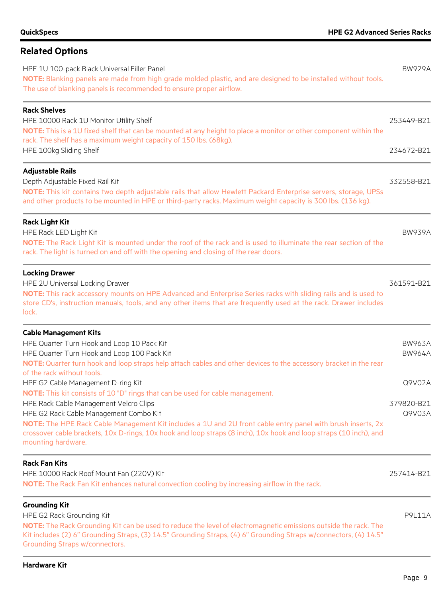# **Related Options**

| HPE 1U 100-pack Black Universal Filler Panel<br>NOTE: Blanking panels are made from high grade molded plastic, and are designed to be installed without tools.<br>The use of blanking panels is recommended to ensure proper airflow.                                                                                                      | <b>BW929A</b>                  |
|--------------------------------------------------------------------------------------------------------------------------------------------------------------------------------------------------------------------------------------------------------------------------------------------------------------------------------------------|--------------------------------|
| <b>Rack Shelves</b><br>HPE 10000 Rack 1U Monitor Utility Shelf<br>NOTE: This is a 1U fixed shelf that can be mounted at any height to place a monitor or other component within the<br>rack. The shelf has a maximum weight capacity of 150 lbs. (68kg).                                                                                   | 253449-B21                     |
| HPE 100kg Sliding Shelf                                                                                                                                                                                                                                                                                                                    | 234672-B21                     |
| <b>Adjustable Rails</b><br>Depth Adjustable Fixed Rail Kit<br>NOTE: This kit contains two depth adjustable rails that allow Hewlett Packard Enterprise servers, storage, UPSs<br>and other products to be mounted in HPE or third-party racks. Maximum weight capacity is 300 lbs. (136 kg).                                               | 332558-B21                     |
| <b>Rack Light Kit</b><br>HPE Rack LED Light Kit<br>NOTE: The Rack Light Kit is mounted under the roof of the rack and is used to illuminate the rear section of the<br>rack. The light is turned on and off with the opening and closing of the rear doors.                                                                                | <b>BW939A</b>                  |
| <b>Locking Drawer</b><br>HPE 2U Universal Locking Drawer<br>NOTE: This rack accessory mounts on HPE Advanced and Enterprise Series racks with sliding rails and is used to<br>store CD's, instruction manuals, tools, and any other items that are frequently used at the rack. Drawer includes<br>lock.                                   | 361591-B21                     |
| <b>Cable Management Kits</b><br>HPE Quarter Turn Hook and Loop 10 Pack Kit<br>HPE Quarter Turn Hook and Loop 100 Pack Kit<br>NOTE: Quarter turn hook and loop straps help attach cables and other devices to the accessory bracket in the rear                                                                                             | <b>BW963A</b><br><b>BW964A</b> |
| of the rack without tools.<br>HPE G2 Cable Management D-ring Kit<br><b>NOTE:</b> This kit consists of 10 "D" rings that can be used for cable management.                                                                                                                                                                                  | Q9V02A                         |
| HPE Rack Cable Management Velcro Clips<br>HPE G2 Rack Cable Management Combo Kit<br>NOTE: The HPE Rack Cable Management Kit includes a 1U and 2U front cable entry panel with brush inserts, 2x<br>crossover cable brackets, 10x D-rings, 10x hook and loop straps (8 inch), 10x hook and loop straps (10 inch), and<br>mounting hardware. | 379820-B21<br>Q9V03A           |
| <b>Rack Fan Kits</b><br>HPE 10000 Rack Roof Mount Fan (220V) Kit<br>NOTE: The Rack Fan Kit enhances natural convection cooling by increasing airflow in the rack.                                                                                                                                                                          | 257414-B21                     |
| <b>Grounding Kit</b><br>HPE G2 Rack Grounding Kit<br>NOTE: The Rack Grounding Kit can be used to reduce the level of electromagnetic emissions outside the rack. The<br>Kit includes (2) 6" Grounding Straps, (3) 14.5" Grounding Straps, (4) 6" Grounding Straps w/connectors, (4) 14.5"<br><b>Grounding Straps w/connectors.</b>         | <b>P9L11A</b>                  |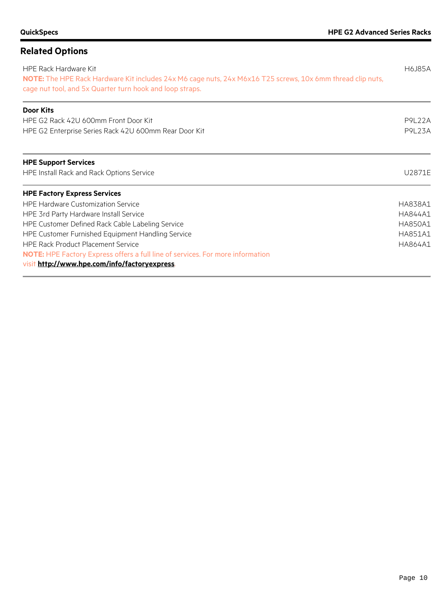# **Related Options** HPE Rack Hardware Kit H6J85A **NOTE:** The HPE Rack Hardware Kit includes 24x M6 cage nuts, 24x M6x16 T25 screws, 10x 6mm thread clip nuts, cage nut tool, and 5x Quarter turn hook and loop straps. **Door Kits** HPE G2 Rack 42U 600mm Front Door Kit P9L22A HPE G2 Enterprise Series Rack 42U 600mm Rear Door Kit P9L23A **HPE Support Services** HPE Install Rack and Rack Options Service U2871E **HPE Factory Express Services** HPE Hardware Customization Service **HA838A1** And the Service HA838A1 HPE 3rd Party Hardware Install Service **HA844A1** And the State of the State HA844A1 HPE Customer Defined Rack Cable Labeling Service **HA850A1** ABSOA1 HPE Customer Furnished Equipment Handling Service **HA851A1** And the United Service HA851A1 HPE Rack Product Placement Service **HA864A1** And the service HA864A1 And the service HA864A1 **NOTE:** HPE Factory Express offers a full line of services. For more information visit **<http://www.hpe.com/info/factoryexpress>**.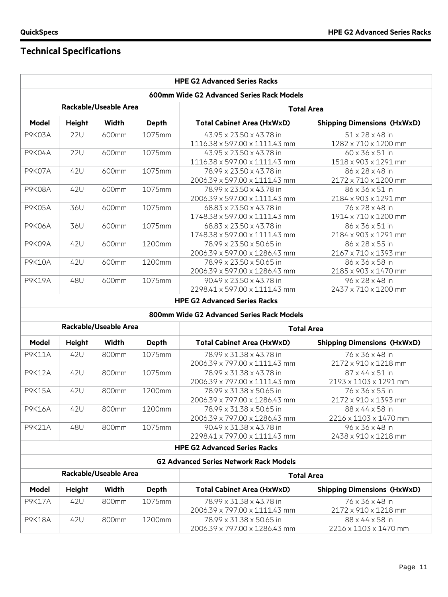Н

# **Technical Specifications**

|                                           |                                            |                              |              | <b>HPE G2 Advanced Series Racks</b>                       |                                          |  |
|-------------------------------------------|--------------------------------------------|------------------------------|--------------|-----------------------------------------------------------|------------------------------------------|--|
| 600mm Wide G2 Advanced Series Rack Models |                                            |                              |              |                                                           |                                          |  |
| <b>Rackable/Useable Area</b>              |                                            |                              |              | <b>Total Area</b>                                         |                                          |  |
| Model                                     | Height                                     | <b>Width</b>                 | <b>Depth</b> | <b>Total Cabinet Area (HxWxD)</b>                         | <b>Shipping Dimensions (HxWxD)</b>       |  |
| P9K03A                                    | <b>22U</b>                                 | 600mm                        | 1075mm       | 43.95 x 23.50 x 43.78 in<br>1116.38 x 597.00 x 1111.43 mm | 51 x 28 x 48 in<br>1282 x 710 x 1200 mm  |  |
| P9K04A                                    | <b>22U</b>                                 | 600mm                        | 1075mm       | 43.95 x 23.50 x 43.78 in<br>1116.38 x 597.00 x 1111.43 mm | 60 x 36 x 51 in<br>1518 x 903 x 1291 mm  |  |
| P9K07A                                    | 42U                                        | 600mm                        | 1075mm       | 78.99 x 23.50 x 43.78 in<br>2006.39 x 597.00 x 1111.43 mm | 86 x 28 x 48 in<br>2172 x 710 x 1200 mm  |  |
| P9K08A                                    | 42U                                        | 600mm                        | 1075mm       | 78.99 x 23.50 x 43.78 in<br>2006.39 x 597.00 x 1111.43 mm | 86 x 36 x 51 in<br>2184 x 903 x 1291 mm  |  |
| P9K05A                                    | 36U                                        | 600mm                        | 1075mm       | 68.83 x 23.50 x 43.78 in<br>1748.38 x 597.00 x 1111.43 mm | 76 x 28 x 48 in<br>1914 x 710 x 1200 mm  |  |
| <b>P9K06A</b>                             | 36U                                        | 600mm                        | 1075mm       | 68.83 x 23.50 x 43.78 in<br>1748.38 x 597.00 x 1111.43 mm | 86 x 36 x 51 in<br>2184 x 903 x 1291 mm  |  |
| P9K09A                                    | 42U                                        | 600mm                        | 1200mm       | 78.99 x 23.50 x 50.65 in<br>2006.39 x 597.00 x 1286.43 mm | 86 x 28 x 55 in<br>2167 x 710 x 1393 mm  |  |
| <b>P9K10A</b>                             | 42U                                        | 600mm                        | 1200mm       | 78.99 x 23.50 x 50.65 in<br>2006.39 x 597.00 x 1286.43 mm | 86 x 36 x 58 in<br>2185 x 903 x 1470 mm  |  |
| <b>P9K19A</b>                             | 48U                                        | 600mm                        | 1075mm       | 90.49 x 23.50 x 43.78 in<br>2298.41 x 597.00 x 1111.43 mm | 96 x 28 x 48 in<br>2437 x 710 x 1200 mm  |  |
|                                           |                                            |                              |              | <b>HPE G2 Advanced Series Racks</b>                       |                                          |  |
|                                           |                                            |                              |              | 800mm Wide G2 Advanced Series Rack Models                 |                                          |  |
|                                           |                                            | <b>Rackable/Useable Area</b> |              | <b>Total Area</b>                                         |                                          |  |
| Model                                     | <b>Height</b>                              | <b>Width</b>                 | <b>Depth</b> | <b>Total Cabinet Area (HxWxD)</b>                         | <b>Shipping Dimensions (HxWxD)</b>       |  |
| <b>P9K11A</b>                             | 42U                                        | 800mm                        | 1075mm       | 78.99 x 31.38 x 43.78 in<br>2006.39 x 797.00 x 1111.43 mm | 76 x 36 x 48 in<br>2172 x 910 x 1218 mm  |  |
| <b>P9K12A</b>                             | 42U                                        | 800mm                        | 1075mm       | 78.99 x 31.38 x 43.78 in<br>2006.39 x 797.00 x 1111.43 mm | 87 x 44 x 51 in<br>2193 x 1103 x 1291 mm |  |
| <b>P9K15A</b>                             | 42U                                        | 800mm                        | 1200mm       | 78.99 x 31.38 x 50.65 in<br>2006.39 x 797.00 x 1286.43 mm | 76 x 36 x 55 in<br>2172 x 910 x 1393 mm  |  |
| <b>P9K16A</b>                             | 42U                                        | 800mm                        | 1200mm       | 78.99 x 31.38 x 50.65 in<br>2006.39 x 797.00 x 1286.43 mm | 88 x 44 x 58 in<br>2216 x 1103 x 1470 mm |  |
| <b>P9K21A</b>                             | 48U                                        | 800mm                        | 1075mm       | 90.49 x 31.38 x 43.78 in<br>2298.41 x 797.00 x 1111.43 mm | 96 x 36 x 48 in<br>2438 x 910 x 1218 mm  |  |
|                                           |                                            |                              |              | <b>HPE G2 Advanced Series Racks</b>                       |                                          |  |
|                                           |                                            |                              |              | <b>G2 Advanced Series Network Rack Models</b>             |                                          |  |
|                                           | Rackable/Useable Area<br><b>Total Area</b> |                              |              |                                                           |                                          |  |
| Model                                     | <b>Height</b>                              | <b>Width</b>                 | <b>Depth</b> | <b>Total Cabinet Area (HxWxD)</b>                         | <b>Shipping Dimensions (HxWxD)</b>       |  |
| <b>P9K17A</b>                             | 42U                                        | 800mm                        | 1075mm       | 78.99 x 31.38 x 43.78 in<br>2006.39 x 797.00 x 1111.43 mm | 76 x 36 x 48 in<br>2172 x 910 x 1218 mm  |  |
| <b>P9K18A</b>                             | 42U                                        | 800mm                        | 1200mm       | 78.99 x 31.38 x 50.65 in<br>2006.39 x 797.00 x 1286.43 mm | 88 x 44 x 58 in<br>2216 x 1103 x 1470 mm |  |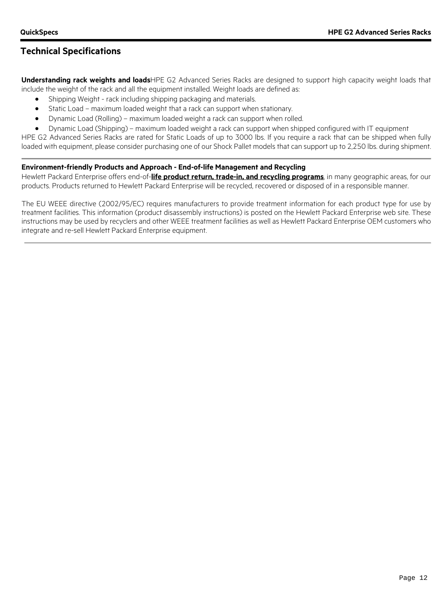## **Technical Specifications**

**Understanding rack weights and loads**HPE G2 Advanced Series Racks are designed to support high capacity weight loads that include the weight of the rack and all the equipment installed. Weight loads are defined as:

- Shipping Weight rack including shipping packaging and materials.
- Static Load maximum loaded weight that a rack can support when stationary.
- Dynamic Load (Rolling) maximum loaded weight a rack can support when rolled.
- Dynamic Load (Shipping) maximum loaded weight a rack can support when shipped configured with IT equipment

HPE G2 Advanced Series Racks are rated for Static Loads of up to 3000 lbs. If you require a rack that can be shipped when fully loaded with equipment, please consider purchasing one of our Shock Pallet models that can support up to 2,250 lbs. during shipment.

### **Environment-friendly Products and Approach - End-of-life Management and Recycling**

Hewlett Packard Enterprise offers end-of-**[life product return, trade-in, and recycling programs](http://www.hpe.com/recycle)**, in many geographic areas, for our products. Products returned to Hewlett Packard Enterprise will be recycled, recovered or disposed of in a responsible manner.

The EU WEEE directive (2002/95/EC) requires manufacturers to provide treatment information for each product type for use by treatment facilities. This information (product disassembly instructions) is posted on the Hewlett Packard Enterprise web site. These instructions may be used by recyclers and other WEEE treatment facilities as well as Hewlett Packard Enterprise OEM customers who integrate and re-sell Hewlett Packard Enterprise equipment.